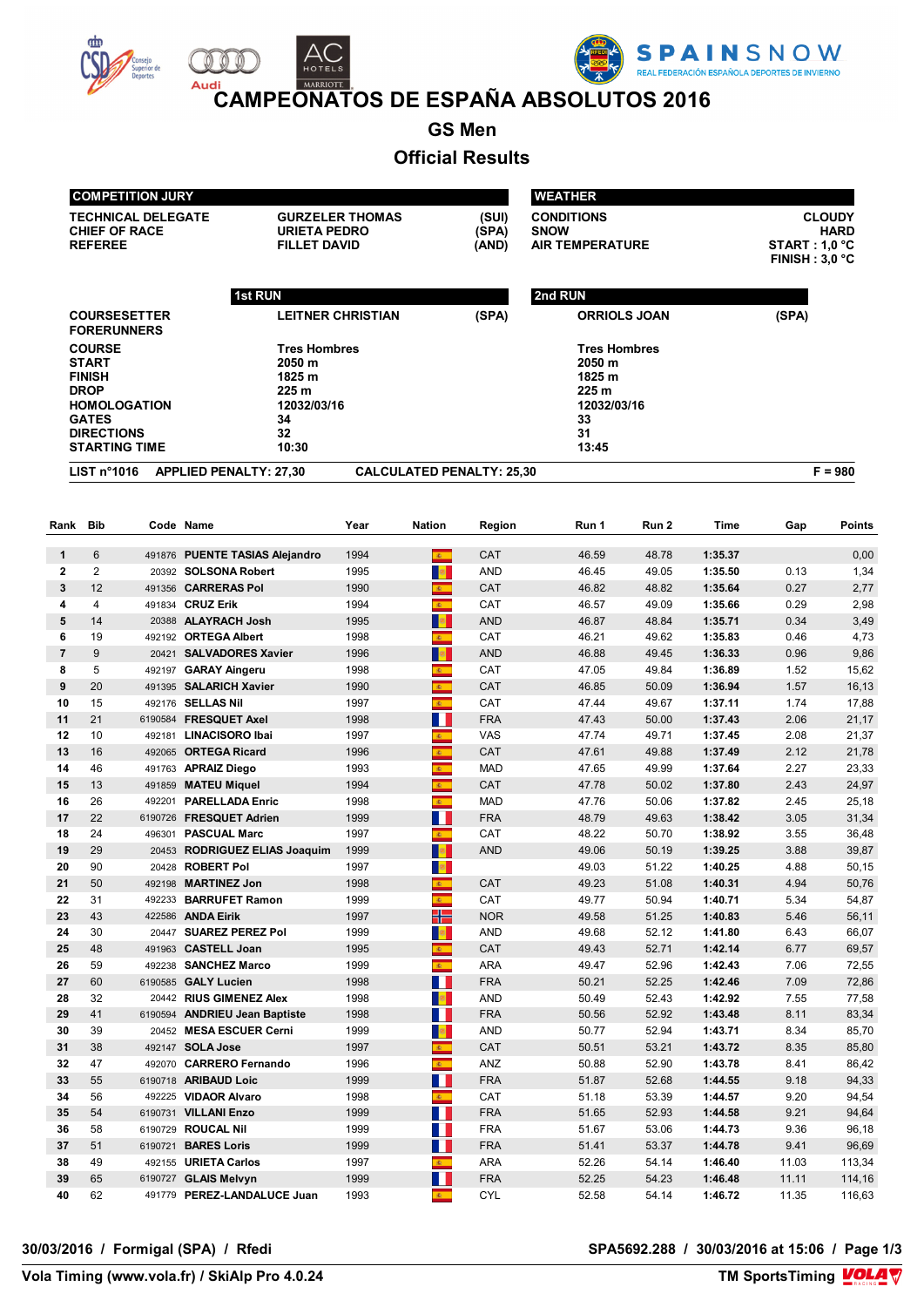





**CAMPEONATOS DE ESPAÑA ABSOLUTOS 2016** 

**GS Men**

# **Official Results**

|          | <b>COMPETITION JURY</b>                                                                                                                           |        |                                                                                      | <b>WEATHER</b>           |                             |                                  |                                                                                      |                |                                                                         |              |                |
|----------|---------------------------------------------------------------------------------------------------------------------------------------------------|--------|--------------------------------------------------------------------------------------|--------------------------|-----------------------------|----------------------------------|--------------------------------------------------------------------------------------|----------------|-------------------------------------------------------------------------|--------------|----------------|
|          | <b>TECHNICAL DELEGATE</b><br><b>CHIEF OF RACE</b><br><b>URIETA PEDRO</b><br><b>REFEREE</b><br><b>FILLET DAVID</b>                                 |        |                                                                                      | <b>GURZELER THOMAS</b>   |                             | (SUI)<br>(SPA)<br>(AND)          | <b>CONDITIONS</b><br><b>SNOW</b><br><b>AIR TEMPERATURE</b>                           |                | <b>CLOUDY</b><br><b>HARD</b><br><b>START : 1.0 °C</b><br>FINISH: 3,0 °C |              |                |
|          |                                                                                                                                                   |        | <b>1st RUN</b>                                                                       |                          |                             |                                  | 2nd RUN                                                                              |                |                                                                         |              |                |
|          | <b>COURSESETTER</b><br><b>FORERUNNERS</b>                                                                                                         |        |                                                                                      | <b>LEITNER CHRISTIAN</b> |                             | (SPA)                            | <b>ORRIOLS JOAN</b>                                                                  |                |                                                                         | (SPA)        |                |
|          | <b>COURSE</b><br><b>START</b><br><b>FINISH</b><br><b>DROP</b><br><b>HOMOLOGATION</b><br><b>GATES</b><br><b>DIRECTIONS</b><br><b>STARTING TIME</b> |        | <b>Tres Hombres</b><br>2050 m<br>1825 m<br>225 m<br>12032/03/16<br>34<br>32<br>10:30 |                          |                             |                                  | <b>Tres Hombres</b><br>2050 m<br>1825 m<br>225 m<br>12032/03/16<br>33<br>31<br>13:45 |                |                                                                         |              |                |
|          | LIST n <sup>°</sup> 1016                                                                                                                          |        | <b>APPLIED PENALTY: 27,30</b>                                                        |                          |                             | <b>CALCULATED PENALTY: 25,30</b> |                                                                                      |                |                                                                         |              | $F = 980$      |
|          |                                                                                                                                                   |        |                                                                                      |                          |                             |                                  |                                                                                      |                |                                                                         |              |                |
| Rank     | <b>Bib</b>                                                                                                                                        |        | Code Name                                                                            | Year                     | <b>Nation</b>               | Region                           | Run 1                                                                                | Run 2          | Time                                                                    | Gap          | <b>Points</b>  |
| 1        | 6                                                                                                                                                 |        | 491876 PUENTE TASIAS Alejandro                                                       | 1994                     | $\mathbf{g}$ .              | <b>CAT</b>                       | 46.59                                                                                | 48.78          | 1:35.37                                                                 |              | 0,00           |
| 2        | $\overline{2}$                                                                                                                                    |        | 20392 SOLSONA Robert                                                                 | 1995                     | $\frac{1}{2}$               | <b>AND</b>                       | 46.45                                                                                | 49.05          | 1:35.50                                                                 | 0.13         | 1,34           |
| 3        | 12                                                                                                                                                |        | 491356 CARRERAS Pol                                                                  | 1990                     | 图                           | CAT                              | 46.82                                                                                | 48.82          | 1:35.64                                                                 | 0.27         | 2,77           |
| 4        | 4                                                                                                                                                 |        | 491834 CRUZ Erik                                                                     | 1994                     | e.                          | CAT                              | 46.57                                                                                | 49.09          | 1:35.66                                                                 | 0.29         | 2,98           |
| 5        | 14                                                                                                                                                |        | 20388 ALAYRACH Josh                                                                  | 1995                     | <b>B</b>                    | <b>AND</b>                       | 46.87                                                                                | 48.84          | 1:35.71                                                                 | 0.34         | 3,49           |
| 6        | 19                                                                                                                                                |        | 492192 ORTEGA Albert                                                                 | 1998                     | <b>图</b>                    | CAT                              | 46.21                                                                                | 49.62          | 1:35.83                                                                 | 0.46         | 4,73           |
| 7        | 9                                                                                                                                                 |        | 20421 SALVADORES Xavier                                                              | 1996                     | <b>R</b>                    | <b>AND</b>                       | 46.88                                                                                | 49.45          | 1:36.33                                                                 | 0.96         | 9,86           |
| 8        | 5                                                                                                                                                 |        | 492197 GARAY Aingeru                                                                 | 1998                     | 6.                          | CAT                              | 47.05                                                                                | 49.84          | 1:36.89                                                                 | 1.52         | 15,62          |
| 9        | 20                                                                                                                                                |        | 491395 SALARICH Xavier                                                               | 1990                     | 6.                          | CAT                              | 46.85                                                                                | 50.09          | 1:36.94                                                                 | 1.57         | 16,13          |
| 10       | 15                                                                                                                                                |        | 492176 SELLAS Nil                                                                    | 1997                     | $\mathbf{c}$                | CAT                              | 47.44                                                                                | 49.67          | 1:37.11                                                                 | 1.74         | 17,88          |
| 11       | 21                                                                                                                                                |        | 6190584 FRESQUET Axel                                                                | 1998                     | B.                          | <b>FRA</b>                       | 47.43                                                                                | 50.00          | 1:37.43                                                                 | 2.06         | 21,17          |
| 12       | 10                                                                                                                                                |        | 492181 LINACISORO Ibai                                                               | 1997                     | $\mathbb{R}^n$              | VAS                              | 47.74                                                                                | 49.71          | 1:37.45                                                                 | 2.08         | 21,37          |
| 13       | 16                                                                                                                                                |        | 492065 ORTEGA Ricard                                                                 | 1996                     | 案                           | CAT                              | 47.61                                                                                | 49.88          | 1:37.49                                                                 | 2.12         | 21,78          |
| 14       | 46                                                                                                                                                |        | 491763 APRAIZ Diego                                                                  | 1993                     | k.                          | <b>MAD</b>                       | 47.65                                                                                | 49.99          | 1:37.64                                                                 | 2.27         | 23,33          |
| 15       | 13                                                                                                                                                |        | 491859 MATEU Miquel                                                                  | 1994                     | $\mathbf{c}$                | CAT                              | 47.78                                                                                | 50.02          | 1:37.80                                                                 | 2.43         | 24,97          |
| 16       | 26                                                                                                                                                | 492201 | <b>PARELLADA Enric</b>                                                               | 1998                     | $\mathbf{E}$ .              | <b>MAD</b>                       | 47.76                                                                                | 50.06          | 1:37.82                                                                 | 2.45         | 25,18          |
| 17       | 22                                                                                                                                                |        | 6190726 FRESQUET Adrien                                                              | 1999                     | M.                          | <b>FRA</b>                       | 48.79                                                                                | 49.63          | 1:38.42                                                                 | 3.05         | 31,34          |
| 18       | 24                                                                                                                                                |        | 496301 PASCUAL Marc                                                                  | 1997                     | 61                          | CAT                              | 48.22                                                                                | 50.70          | 1:38.92                                                                 | 3.55         | 36,48          |
| 19       | 29                                                                                                                                                |        | 20453 RODRIGUEZ ELIAS Joaquim                                                        | 1999                     | <b>B</b>                    | <b>AND</b>                       | 49.06                                                                                | 50.19          | 1:39.25                                                                 | 3.88         | 39,87          |
| 20       | 90                                                                                                                                                |        | 20428 ROBERT Pol                                                                     | 1997                     | <b>B</b>                    |                                  | 49.03                                                                                | 51.22          | 1:40.25                                                                 | 4.88         | 50,15          |
| 21       | 50                                                                                                                                                |        | 492198 MARTINEZ Jon                                                                  | 1998                     |                             | CAT                              | 49.23                                                                                | 51.08          | 1:40.31                                                                 | 4.94         | 50,76          |
| 22<br>23 | 31<br>43                                                                                                                                          |        | 492233 BARRUFET Ramon<br>422586 ANDA Eirik                                           | 1999<br>1997             | $\mathbf{z}$ .<br>╬         | CAT<br><b>NOR</b>                | 49.77<br>49.58                                                                       | 50.94          | 1:40.71<br>1:40.83                                                      | 5.34<br>5.46 | 54,87<br>56,11 |
| 24       | 30                                                                                                                                                |        | 20447 SUAREZ PEREZ Pol                                                               | 1999                     | <b>B</b>                    | AND                              | 49.68                                                                                | 51.25<br>52.12 | 1:41.80                                                                 | 6.43         | 66,07          |
| 25       | 48                                                                                                                                                |        | 491963 CASTELL Joan                                                                  | 1995                     | 6.                          | CAT                              | 49.43                                                                                | 52.71          | 1:42.14                                                                 | 6.77         | 69,57          |
| 26       | 59                                                                                                                                                |        | 492238 SANCHEZ Marco                                                                 | 1999                     | $\mathbf{A}$                | ARA                              | 49.47                                                                                | 52.96          | 1:42.43                                                                 | 7.06         | 72,55          |
| 27       | 60                                                                                                                                                |        | 6190585 GALY Lucien                                                                  | 1998                     | $\blacksquare$              | <b>FRA</b>                       | 50.21                                                                                | 52.25          | 1:42.46                                                                 | 7.09         | 72,86          |
| 28       | 32                                                                                                                                                |        | 20442 RIUS GIMENEZ Alex                                                              | 1998                     | <b>B</b>                    | AND                              | 50.49                                                                                | 52.43          | 1:42.92                                                                 | 7.55         | 77,58          |
| 29       | 41                                                                                                                                                |        | 6190594 ANDRIEU Jean Baptiste                                                        | 1998                     | M.                          | <b>FRA</b>                       | 50.56                                                                                | 52.92          | 1:43.48                                                                 | 8.11         | 83,34          |
| 30       | 39                                                                                                                                                |        | 20452 MESA ESCUER Cerni                                                              | 1999                     | <b>B</b>                    | AND                              | 50.77                                                                                | 52.94          | 1:43.71                                                                 | 8.34         | 85,70          |
| 31       | 38                                                                                                                                                |        | 492147 SOLA Jose                                                                     | 1997                     | $\mathbf{g}_{\mathrm{max}}$ | CAT                              | 50.51                                                                                | 53.21          | 1:43.72                                                                 | 8.35         | 85,80          |
| 32       | 47                                                                                                                                                |        | 492070 CARRERO Fernando                                                              | 1996                     | $\mathbf{A}$                | ANZ                              | 50.88                                                                                | 52.90          | 1:43.78                                                                 | 8.41         | 86,42          |
| 33       | 55                                                                                                                                                |        | 6190718 ARIBAUD Loic                                                                 | 1999                     | M.                          | <b>FRA</b>                       | 51.87                                                                                | 52.68          | 1:44.55                                                                 | 9.18         | 94,33          |
| 34       | 56                                                                                                                                                |        | 492225 VIDAOR Alvaro                                                                 | 1998                     | $\mathbf{g}$                | CAT                              | 51.18                                                                                | 53.39          | 1:44.57                                                                 | 9.20         | 94,54          |
| 35       | 54                                                                                                                                                |        | 6190731 VILLANI Enzo                                                                 | 1999                     | H                           | <b>FRA</b>                       | 51.65                                                                                | 52.93          | 1:44.58                                                                 | 9.21         | 94,64          |
| 36       | 58                                                                                                                                                |        | 6190729 ROUCAL Nil                                                                   | 1999                     | a ka                        | <b>FRA</b>                       | 51.67                                                                                | 53.06          | 1:44.73                                                                 | 9.36         | 96,18          |
| 37       | 51                                                                                                                                                |        | 6190721 BARES Loris                                                                  | 1999                     | M.                          | <b>FRA</b>                       | 51.41                                                                                | 53.37          | 1:44.78                                                                 | 9.41         | 96,69          |
| 38       | 49                                                                                                                                                |        | 492155 URIETA Carlos                                                                 | 1997                     | $\mathcal{R}^{\text{max}}$  | ARA                              | 52.26                                                                                | 54.14          | 1:46.40                                                                 | 11.03        | 113,34         |
| 39       | 65                                                                                                                                                |        | 6190727 GLAIS Melvyn                                                                 | 1999                     | M.                          | <b>FRA</b>                       | 52.25                                                                                | 54.23          | 1:46.48                                                                 | 11.11        | 114,16         |
| 40       | 62                                                                                                                                                |        | 491779 PEREZ-LANDALUCE Juan                                                          | 1993                     | $\mathbf{g}$ .              | CYL                              | 52.58                                                                                | 54.14          | 1:46.72                                                                 | 11.35        | 116,63         |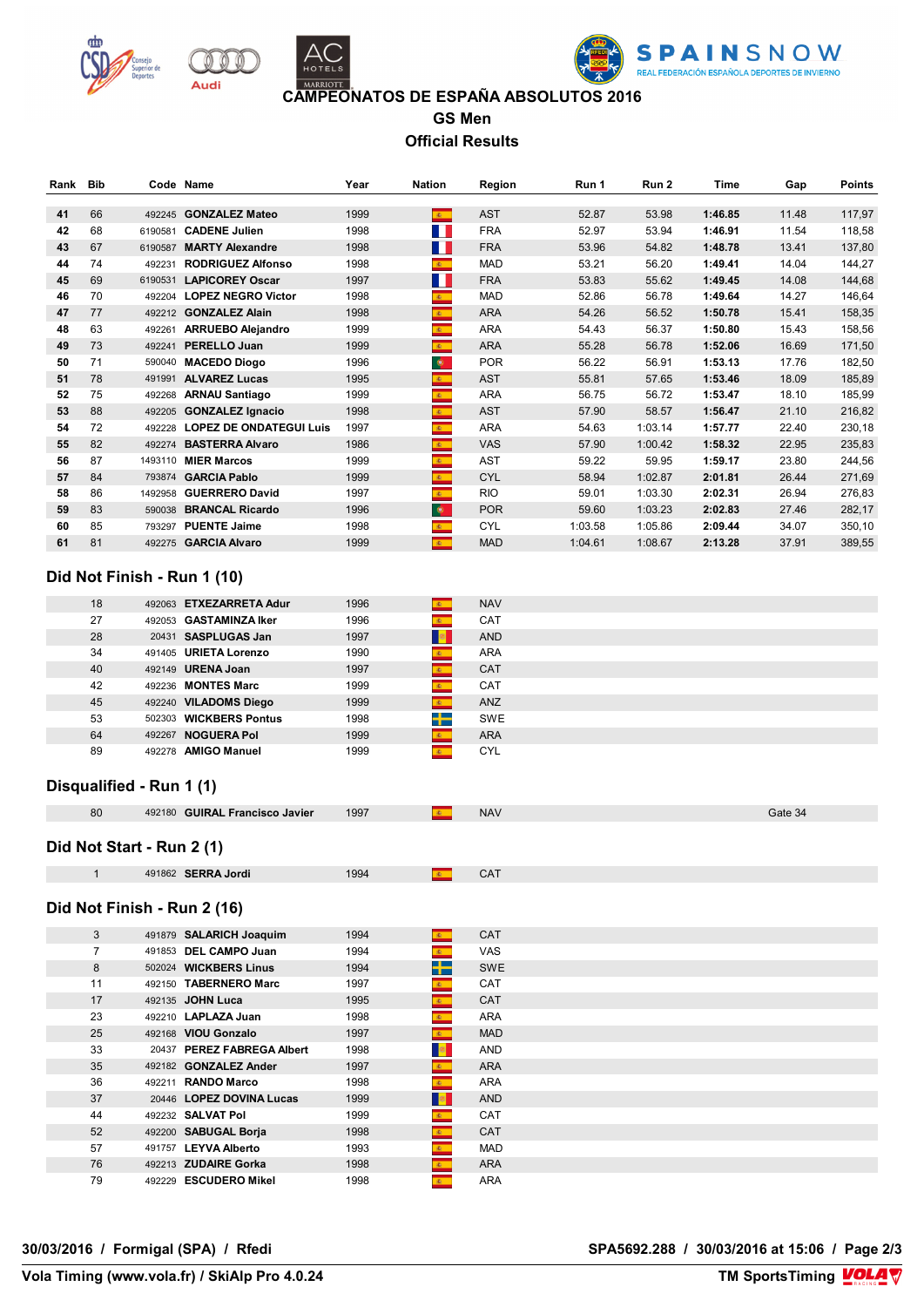





#### **CAMPEONATOS DE ESPAÑA ABSOLUTOS 2016**

**GS Men Official Results**

| Rank | Bib |         | Code Name                      | Year | <b>Nation</b>                  | Region     | Run 1   | Run 2   | Time    | Gap   | Points |
|------|-----|---------|--------------------------------|------|--------------------------------|------------|---------|---------|---------|-------|--------|
| 41   | 66  | 492245  | <b>GONZALEZ Mateo</b>          | 1999 | $\mathbf{g}_\mathrm{c}$        | <b>AST</b> | 52.87   | 53.98   | 1:46.85 | 11.48 | 117,97 |
| 42   | 68  | 6190581 | <b>CADENE Julien</b>           | 1998 | W                              | <b>FRA</b> | 52.97   | 53.94   | 1:46.91 | 11.54 | 118,58 |
| 43   | 67  | 6190587 | <b>MARTY Alexandre</b>         | 1998 | <b>TELEVISION</b>              | <b>FRA</b> | 53.96   | 54.82   | 1:48.78 | 13.41 | 137,80 |
| 44   | 74  | 492231  | <b>RODRIGUEZ Alfonso</b>       | 1998 | $\mathbf{c}$                   | <b>MAD</b> | 53.21   | 56.20   | 1:49.41 | 14.04 | 144,27 |
| 45   | 69  | 6190531 | <b>LAPICOREY Oscar</b>         | 1997 | W                              | <b>FRA</b> | 53.83   | 55.62   | 1:49.45 | 14.08 | 144,68 |
| 46   | 70  | 492204  | <b>LOPEZ NEGRO Victor</b>      | 1998 | $\mathbf{g}$                   | <b>MAD</b> | 52.86   | 56.78   | 1:49.64 | 14.27 | 146,64 |
| 47   | 77  | 492212  | <b>GONZALEZ Alain</b>          | 1998 | $\mathbf{g}_{\mathrm{in}}$     | <b>ARA</b> | 54.26   | 56.52   | 1:50.78 | 15.41 | 158,35 |
| 48   | 63  | 492261  | <b>ARRUEBO Alejandro</b>       | 1999 | $\mathbf{A}$ .                 | <b>ARA</b> | 54.43   | 56.37   | 1:50.80 | 15.43 | 158,56 |
| 49   | 73  | 492241  | <b>PERELLO Juan</b>            | 1999 | $\mathcal{R}^+$                | <b>ARA</b> | 55.28   | 56.78   | 1:52.06 | 16.69 | 171,50 |
| 50   | 71  | 590040  | <b>MACEDO Diogo</b>            | 1996 | $\bullet$                      | <b>POR</b> | 56.22   | 56.91   | 1:53.13 | 17.76 | 182,50 |
| 51   | 78  | 491991  | <b>ALVAREZ Lucas</b>           | 1995 | $\mathbf{A}$ .                 | <b>AST</b> | 55.81   | 57.65   | 1:53.46 | 18.09 | 185,89 |
| 52   | 75  | 492268  | <b>ARNAU Santiago</b>          | 1999 | $\mathbf{g}_\mathrm{c}$        | <b>ARA</b> | 56.75   | 56.72   | 1:53.47 | 18.10 | 185,99 |
| 53   | 88  | 492205  | <b>GONZALEZ Ignacio</b>        | 1998 | $\mathcal{R}^+$                | <b>AST</b> | 57.90   | 58.57   | 1:56.47 | 21.10 | 216,82 |
| 54   | 72  | 492228  | <b>LOPEZ DE ONDATEGUI Luis</b> | 1997 | $\mathbf{E}$ .                 | <b>ARA</b> | 54.63   | 1:03.14 | 1:57.77 | 22.40 | 230,18 |
| 55   | 82  | 492274  | <b>BASTERRA Alvaro</b>         | 1986 | $\mathbf{g}_\mathrm{c}$        | <b>VAS</b> | 57.90   | 1:00.42 | 1:58.32 | 22.95 | 235,83 |
| 56   | 87  | 1493110 | <b>MIER Marcos</b>             | 1999 | $\mathbf{g}$                   | AST        | 59.22   | 59.95   | 1:59.17 | 23.80 | 244,56 |
| 57   | 84  | 793874  | <b>GARCIA Pablo</b>            | 1999 | $\mathcal{R}^+$                | <b>CYL</b> | 58.94   | 1:02.87 | 2:01.81 | 26.44 | 271,69 |
| 58   | 86  | 1492958 | <b>GUERRERO David</b>          | 1997 | $\mathbf{g}_\mathrm{in}$       | <b>RIO</b> | 59.01   | 1:03.30 | 2:02.31 | 26.94 | 276,83 |
| 59   | 83  | 590038  | <b>BRANCAL Ricardo</b>         | 1996 | $\bullet$                      | <b>POR</b> | 59.60   | 1:03.23 | 2:02.83 | 27.46 | 282,17 |
| 60   | 85  | 793297  | <b>PUENTE Jaime</b>            | 1998 | $\langle \mathbf{g}_i \rangle$ | <b>CYL</b> | 1:03.58 | 1:05.86 | 2:09.44 | 34.07 | 350,10 |
| 61   | 81  | 492275  | <b>GARCIA Alvaro</b>           | 1999 | $\mathcal{R}$                  | <b>MAD</b> | 1:04.61 | 1:08.67 | 2:13.28 | 37.91 | 389,55 |

### **Did Not Finish - Run 1 (10)**

| 18 | 492063 ETXEZARRETA Adur   | 1996 | <b>NAV</b><br>40.        |  |
|----|---------------------------|------|--------------------------|--|
| 27 | 492053 GASTAMINZA Iker    | 1996 | CAT                      |  |
| 28 | 20431 SASPLUGAS Jan       | 1997 | <b>AND</b>               |  |
| 34 | 491405 URIETA Lorenzo     | 1990 | <b>ARA</b><br>案。         |  |
| 40 | 492149 <b>URENA Joan</b>  | 1997 | <b>CAT</b><br><b>REC</b> |  |
| 42 | 492236 <b>MONTES Marc</b> | 1999 | CAT                      |  |
| 45 | 492240 VILADOMS Diego     | 1999 | <b>ANZ</b>               |  |
| 53 | 502303 WICKBERS Pontus    | 1998 | -1-<br><b>SWE</b>        |  |
| 64 | 492267 NOGUERA Pol        | 1999 | <b>ARA</b><br>(48)       |  |
| 89 | 492278 AMIGO Manuel       | 1999 | <b>CYL</b>               |  |

#### **Disqualified - Run 1 (1)**

| 80 | 492180 GUIRAL Francisco Javier | 1997 | <b>NAV</b> | Gate 34 |
|----|--------------------------------|------|------------|---------|
|    |                                |      |            |         |

## **Did Not Start - Run 2 (1)**

|  | $S = S$<br>Jordi<br>491862 | 1994 |  |
|--|----------------------------|------|--|
|  |                            |      |  |

### **Did Not Finish - Run 2 (16)**

| 3  | 491879 SALARICH Joaquim    | 1994 | $\mathbf{E}$            | <b>CAT</b> |
|----|----------------------------|------|-------------------------|------------|
| 7  | 491853 DEL CAMPO Juan      | 1994 | $\mathbf{g}_\mathrm{c}$ | <b>VAS</b> |
| 8  | 502024 WICKBERS Linus      | 1994 | ┽                       | SWE        |
| 11 | 492150 TABERNERO Marc      | 1997 | $\mathcal{R}^{\pm}$     | <b>CAT</b> |
| 17 | 492135 JOHN Luca           | 1995 | $\mathbf{g}$ .          | <b>CAT</b> |
| 23 | 492210 <b>LAPLAZA Juan</b> | 1998 | $\mathbf{g}$ .          | <b>ARA</b> |
| 25 | 492168 VIOU Gonzalo        | 1997 | $\mathbf{G}$            | <b>MAD</b> |
| 33 | 20437 PEREZ FABREGA Albert | 1998 |                         | <b>AND</b> |
| 35 | 492182 GONZALEZ Ander      | 1997 | 图                       | <b>ARA</b> |
| 36 | 492211 <b>RANDO Marco</b>  | 1998 | $\mathbf{g}_\mathrm{c}$ | <b>ARA</b> |
| 37 | 20446 LOPEZ DOVINA Lucas   | 1999 |                         | <b>AND</b> |
| 44 | 492232 SALVAT Pol          | 1999 | $\mathbb{R}$            | <b>CAT</b> |
| 52 | 492200 SABUGAL Borja       | 1998 | $\overline{6}$          | <b>CAT</b> |
| 57 | 491757 LEYVA Alberto       | 1993 | $\mathcal{L}$           | <b>MAD</b> |
| 76 | 492213 ZUDAIRE Gorka       | 1998 | 1881                    | <b>ARA</b> |
| 79 | 492229 ESCUDERO Mikel      | 1998 | (4)                     | <b>ARA</b> |